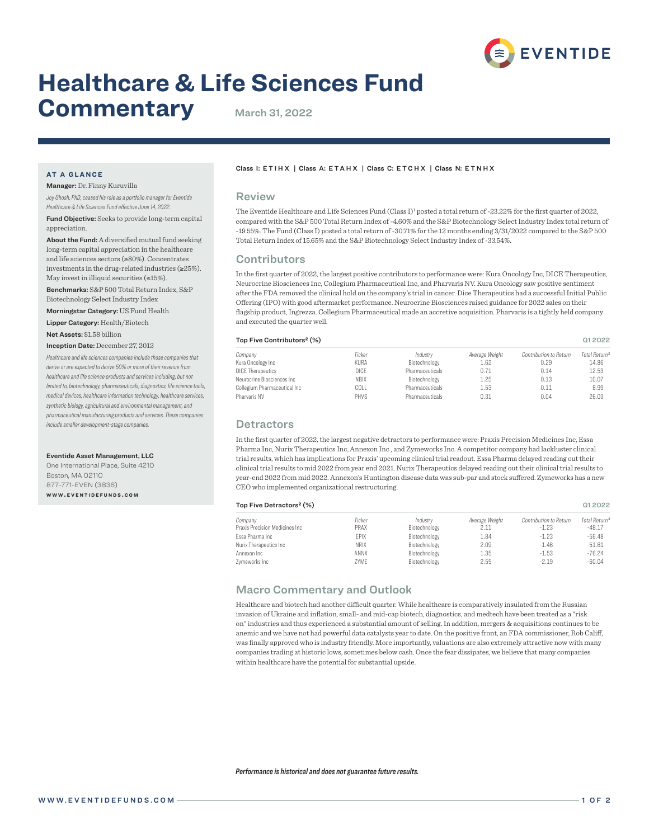

# **Healthcare & Life Sciences Fund**

# **Commentary** March 31, 2022

# **AT A GLANCE**

Manager: Dr. Finny Kuruvilla

*Joy Ghosh, PhD, ceased his role as a portfolio manager for Eventide Healthcare & Life Sciences Fund effective June 14, 2022.*

Fund Objective: Seeks to provide long-term capital appreciation.

About the Fund: A diversified mutual fund seeking long-term capital appreciation in the healthcare and life sciences sectors (≥80%). Concentrates investments in the drug-related industries (≥25%). May invest in illiquid securities  $(\leq 15\%)$ .

Benchmarks: S&P 500 Total Return Index, S&P Biotechnology Select Industry Index

Morningstar Category: US Fund Health

Lipper Category: Health/Biotech

Net Assets: \$1.58 billion

#### Inception Date: December 27, 2012

*Healthcare and life sciences companies include those companies that derive or are expected to derive 50% or more of their revenue from healthcare and life science products and services including, but not limited to, biotechnology, pharmaceuticals, diagnostics, life science tools, medical devices, healthcare information technology, healthcare services, synthetic biology, agricultural and environmental management, and pharmaceutical manufacturing products and services. These companies include smaller development-stage companies.*

#### Eventide Asset Management, LLC

One International Place, Suite 4210 Boston, MA 02110 877-771-EVEN (3836) **w w w . e v e n t i d e f u n d s . c o m**

## Class I: ETIHX | Class A: ETAHX | Class C: ETCHX | Class N: E T N H X

## Review

The Eventide Healthcare and Life Sciences Fund (Class I)<sup>1</sup> posted a total return of -23.22% for the first quarter of 2022, compared with the S&P 500 Total Return Index of -4.60% and the S&P Biotechnology Select Industry Index total return of -19.55%. The Fund (Class I) posted a total return of -30.71% for the 12 months ending 3/31/2022 compared to the S&P 500 Total Return Index of 15.65% and the S&P Biotechnology Select Industry Index of -33.54%.

### **Contributors**

In the first quarter of 2022, the largest positive contributors to performance were: Kura Oncology Inc, DICE Therapeutics, Neurocrine Biosciences Inc, Collegium Pharmaceutical Inc, and Pharvaris NV. Kura Oncology saw positive sentiment after the FDA removed the clinical hold on the company's trial in cancer. Dice Therapeutics had a successful Initial Public Offering (IPO) with good aftermarket performance. Neurocrine Biosciences raised guidance for 2022 sales on their flagship product, Ingrezza. Collegium Pharmaceutical made an accretive acquisition. Pharvaris is a tightly held company and executed the quarter well.

| Top Five Contributors <sup>2</sup> (%)       |                     |                                           |                |                        |                           |
|----------------------------------------------|---------------------|-------------------------------------------|----------------|------------------------|---------------------------|
| Company                                      | Ticker              | Industry                                  | Average Weight | Contribution to Return | Total Return <sup>3</sup> |
| Kura Oncology Inc                            | KURA                | Biotechnology                             | 1.62           | 0.29                   | 14.86                     |
| <b>DICE Therapeutics</b>                     | DICE                | <b>Pharmaceuticals</b>                    | 0.71           | 0.14                   | 12.53                     |
| Neurocrine Biosciences Inc                   | <b>NBIX</b>         | Biotechnology                             | 1.25           | 0.13                   | 10.07                     |
| Collegium Pharmaceutical Inc<br>Pharvaris NV | COLL<br><b>PHVS</b> | Pharmaceuticals<br><b>Pharmaceuticals</b> | 1.53<br>0.31   | 0.11<br>0.04           | 8.99<br>26.03             |

#### **Detractors**

In the first quarter of 2022, the largest negative detractors to performance were: Praxis Precision Medicines Inc, Essa Pharma Inc, Nurix Therapeutics Inc, Annexon Inc , and Zymeworks Inc. A competitor company had lackluster clinical trial results, which has implications for Praxis' upcoming clinical trial readout. Essa Pharma delayed reading out their clinical trial results to mid 2022 from year end 2021. Nurix Therapeutics delayed reading out their clinical trial results to year-end 2022 from mid 2022. Annexon's Huntington disease data was sub-par and stock suffered. Zymeworks has a new CEO who implemented organizational restructuring.

#### Top Five Detractors² (%) Q1 2022

| Company                         | Ticker      | Industry      | Average Weight | Contribution to Return | Total Return <sup>3</sup> |
|---------------------------------|-------------|---------------|----------------|------------------------|---------------------------|
| Praxis Precision Medicines Inc. | PRAX        | Biotechnology | 2.11           | $-1.23$                | $-48.17$                  |
| Essa Pharma Inc                 | EPIX        | Biotechnology | 1.84           | $-1.23$                | $-56.48$                  |
| Nurix Therapeutics Inc          | <b>NRIX</b> | Biotechnology | 2.09           | $-1.46$                | $-51.61$                  |
| Annexon Inc                     | ANNX        | Biotechnology | 1.35           | $-1.53$                | $-76.24$                  |
| Zymeworks Inc                   | ZYME        | Biotechnology | 2.55           | $-2.19$                | $-60.04$                  |

### Macro Commentary and Outlook

Healthcare and biotech had another difficult quarter. While healthcare is comparatively insulated from the Russian invasion of Ukraine and inflation, small- and mid-cap biotech, diagnostics, and medtech have been treated as a "risk on" industries and thus experienced a substantial amount of selling. In addition, mergers & acquisitions continues to be anemic and we have not had powerful data catalysts year to date. On the positive front, an FDA commissioner, Rob Califf, was finally approved who is industry friendly. More importantly, valuations are also extremely attractive now with many companies trading at historic lows, sometimes below cash. Once the fear dissipates, we believe that many companies within healthcare have the potential for substantial upside.

*Performance is historical and does not guarantee future results.*